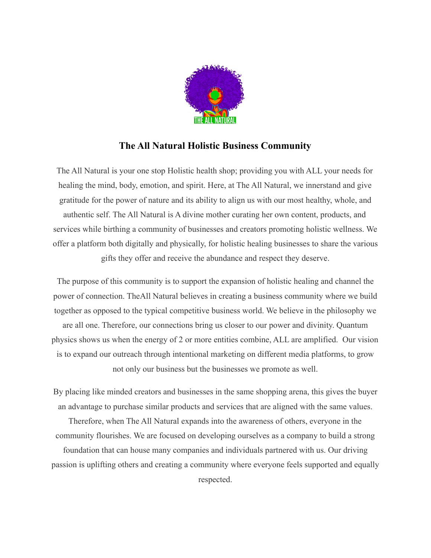

#### **The All Natural Holistic Business Community**

The All Natural is your one stop Holistic health shop; providing you with ALL your needs for healing the mind, body, emotion, and spirit. Here, at The All Natural, we innerstand and give gratitude for the power of nature and its ability to align us with our most healthy, whole, and authentic self. The All Natural is A divine mother curating her own content, products, and services while birthing a community of businesses and creators promoting holistic wellness. We offer a platform both digitally and physically, for holistic healing businesses to share the various gifts they offer and receive the abundance and respect they deserve.

The purpose of this community is to support the expansion of holistic healing and channel the power of connection. TheAll Natural believes in creating a business community where we build together as opposed to the typical competitive business world. We believe in the philosophy we are all one. Therefore, our connections bring us closer to our power and divinity. Quantum physics shows us when the energy of 2 or more entities combine, ALL are amplified. Our vision is to expand our outreach through intentional marketing on different media platforms, to grow not only our business but the businesses we promote as well.

By placing like minded creators and businesses in the same shopping arena, this gives the buyer an advantage to purchase similar products and services that are aligned with the same values. Therefore, when The All Natural expands into the awareness of others, everyone in the community flourishes. We are focused on developing ourselves as a company to build a strong foundation that can house many companies and individuals partnered with us. Our driving passion is uplifting others and creating a community where everyone feels supported and equally respected.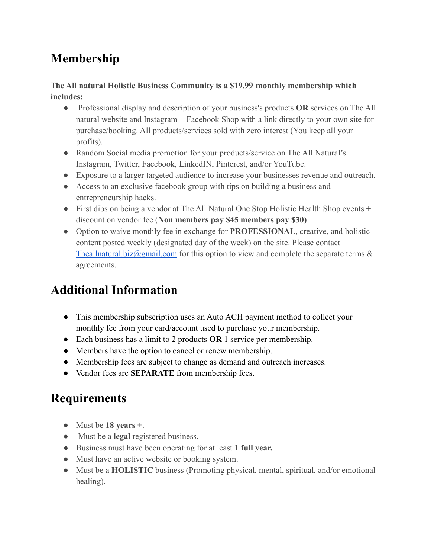### **Membership**

#### T**he All natural Holistic Business Community is a \$19.99 monthly membership which includes:**

- Professional display and description of your business's products **OR** services on The All natural website and Instagram + Facebook Shop with a link directly to your own site for purchase/booking. All products/services sold with zero interest (You keep all your profits).
- Random Social media promotion for your products/service on The All Natural's Instagram, Twitter, Facebook, LinkedIN, Pinterest, and/or YouTube.
- Exposure to a larger targeted audience to increase your businesses revenue and outreach.
- Access to an exclusive facebook group with tips on building a business and entrepreneurship hacks.
- First dibs on being a vendor at The All Natural One Stop Holistic Health Shop events + discount on vendor fee (**Non members pay \$45 members pay \$30)**
- Option to waive monthly fee in exchange for **PROFESSIONAL**, creative, and holistic content posted weekly (designated day of the week) on the site. Please contact Theallnatural.biz $\omega$ gmail.com for this option to view and complete the separate terms  $\&$ agreements.

# **Additional Information**

- This membership subscription uses an Auto ACH payment method to collect your monthly fee from your card/account used to purchase your membership.
- Each business has a limit to 2 products **OR** 1 service per membership.
- Members have the option to cancel or renew membership.
- Membership fees are subject to change as demand and outreach increases.
- Vendor fees are **SEPARATE** from membership fees.

# **Requirements**

- Must be **18 years +**.
- Must be a **legal** registered business.
- Business must have been operating for at least **1 full year.**
- Must have an active website or booking system.
- Must be a **HOLISTIC** business (Promoting physical, mental, spiritual, and/or emotional healing).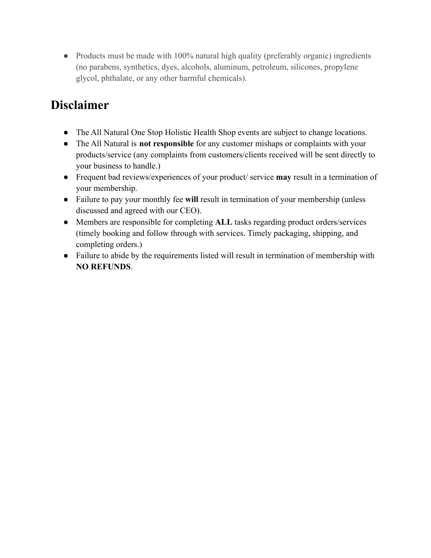• Products must be made with 100% natural high quality (preferably organic) ingredients (no parabens, synthetics, dyes, alcohols, aluminum, petroleum, silicones, propylene glycol, phthalate, or any other harmful chemicals).

#### **Disclaimer**

- The All Natural One Stop Holistic Health Shop events are subject to change locations.
- The All Natural is **not responsible** for any customer mishaps or complaints with your products/service (any complaints from customers/clients received will be sent directly to your business to handle.)
- Frequent bad reviews/experiences of your product/ service **may** result in a termination of your membership.
- Failure to pay your monthly fee **will** result in termination of your membership (unless discussed and agreed with our CEO).
- Members are responsible for completing **ALL** tasks regarding product orders/services (timely booking and follow through with services. Timely packaging, shipping, and completing orders.)
- Failure to abide by the requirements listed will result in termination of membership with **NO REFUNDS**.